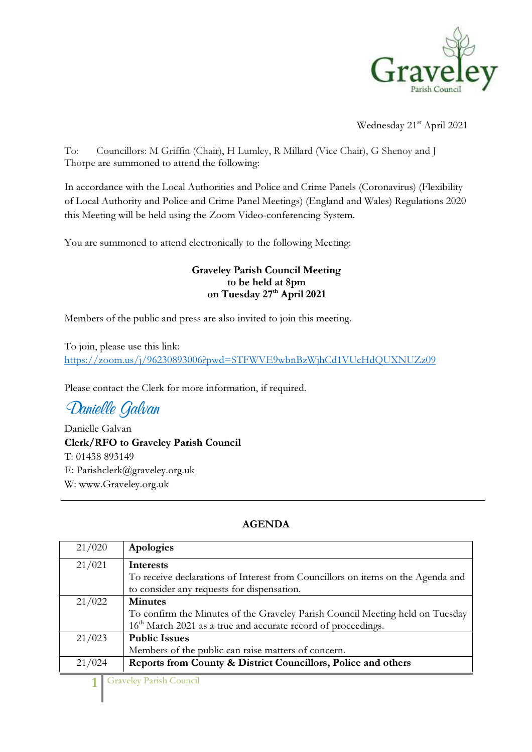

Wednesday 21<sup>st</sup> April 2021

To: Councillors: M Griffin (Chair), H Lumley, R Millard (Vice Chair), G Shenoy and J Thorpe are summoned to attend the following:

In accordance with the Local Authorities and Police and Crime Panels (Coronavirus) (Flexibility of Local Authority and Police and Crime Panel Meetings) (England and Wales) Regulations 2020 this Meeting will be held using the Zoom Video-conferencing System.

You are summoned to attend electronically to the following Meeting:

## Graveley Parish Council Meeting to be held at 8pm on Tuesday 27<sup>th</sup> April 2021

Members of the public and press are also invited to join this meeting.

To join, please use this link: https://zoom.us/j/96230893006?pwd=STFWVE9wbnBzWjhCd1VUcHdQUXNUZz09

Please contact the Clerk for more information, if required.

Danielle Galvan

Danielle Galvan Clerk/RFO to Graveley Parish Council T: 01438 893149 E: Parishclerk@graveley.org.uk W: www.Graveley.org.uk

## AGENDA

| 21/020 | Apologies                                                                       |
|--------|---------------------------------------------------------------------------------|
| 21/021 | <b>Interests</b>                                                                |
|        | To receive declarations of Interest from Councillors on items on the Agenda and |
|        | to consider any requests for dispensation.                                      |
| 21/022 | <b>Minutes</b>                                                                  |
|        | To confirm the Minutes of the Graveley Parish Council Meeting held on Tuesday   |
|        | 16 <sup>th</sup> March 2021 as a true and accurate record of proceedings.       |
| 21/023 | <b>Public Issues</b>                                                            |
|        | Members of the public can raise matters of concern.                             |
| 21/024 | Reports from County & District Councillors, Police and others                   |

1 Graveley Parish Council